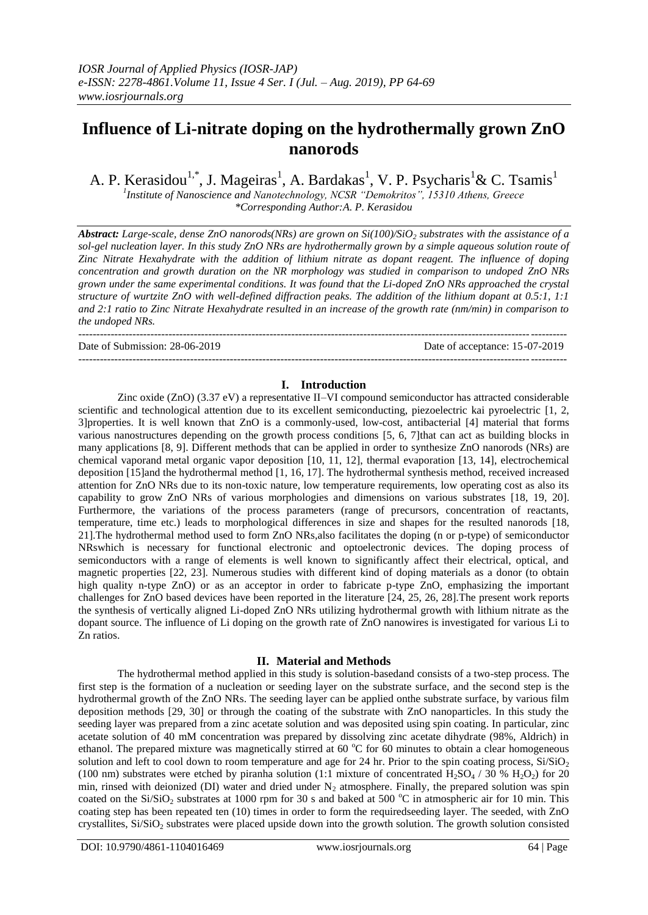# **Influence of Li-nitrate doping on the hydrothermally grown ZnO nanorods**

A. P. Kerasidou<sup>1,\*</sup>, J. Mageiras<sup>1</sup>, A. Bardakas<sup>1</sup>, V. P. Psycharis<sup>1</sup>& C. Tsamis<sup>1</sup> *1 Institute of Nanoscience and Nanotechnology, NCSR "Demokritos", 15310 Athens, Greece*

*\*Corresponding Author:A. P. Kerasidou*

*Abstract: Large-scale, dense ZnO nanorods(NRs) are grown on Si(100)/SiO<sup>2</sup> substrates with the assistance of a sol-gel nucleation layer. In this study ZnO NRs are hydrothermally grown by a simple aqueous solution route of Zinc Nitrate Hexahydrate with the addition of lithium nitrate as dopant reagent. The influence of doping concentration and growth duration on the NR morphology was studied in comparison to undoped ZnO NRs grown under the same experimental conditions. It was found that the Li-doped ZnO NRs approached the crystal structure of wurtzite ZnO with well-defined diffraction peaks. The addition of the lithium dopant at 0.5:1, 1:1 and 2:1 ratio to Zinc Nitrate Hexahydrate resulted in an increase of the growth rate (nm/min) in comparison to the undoped NRs.*

--------------------------------------------------------------------------------------------------------------------------------------- Date of Submission: 28-06-2019 Date of acceptance: 15-07-2019

## **I. Introduction**

---------------------------------------------------------------------------------------------------------------------------------------

Zinc oxide (ZnO) (3.37 eV) a representative II–VI compound semiconductor has attracted considerable scientific and technological attention due to its excellent semiconducting, piezoelectric kai pyroelectric [1, 2, 3]properties. It is well known that ZnO is a commonly-used, low-cost, antibacterial [4] material that forms various nanostructures depending on the growth process conditions [5, 6, 7]that can act as building blocks in many applications [8, 9]. Different methods that can be applied in order to synthesize ZnO nanorods (NRs) are chemical vaporand metal organic vapor deposition [10, 11, 12], thermal evaporation [13, 14], electrochemical deposition [15]and the hydrothermal method [1, 16, 17]. The hydrothermal synthesis method, received increased attention for ZnO NRs due to its non-toxic nature, low temperature requirements, low operating cost as also its capability to grow ZnO NRs of various morphologies and dimensions on various substrates [18, 19, 20]. Furthermore, the variations of the process parameters (range of precursors, concentration of reactants, temperature, time etc.) leads to morphological differences in size and shapes for the resulted nanorods [18, 21].The hydrothermal method used to form ZnO NRs,also facilitates the doping (n or p-type) of semiconductor NRswhich is necessary for functional electronic and optoelectronic devices. The doping process of semiconductors with a range of elements is well known to significantly affect their electrical, optical, and magnetic properties [22, 23]. Numerous studies with different kind of doping materials as a donor (to obtain high quality n-type ZnO) or as an acceptor in order to fabricate p-type ZnO, emphasizing the important challenges for ZnO based devices have been reported in the literature [24, 25, 26, 28].The present work reports the synthesis of vertically aligned Li-doped ZnO NRs utilizing hydrothermal growth with lithium nitrate as the dopant source. The influence of Li doping on the growth rate of ZnO nanowires is investigated for various Li to Zn ratios.

## **II. Material and Methods**

The hydrothermal method applied in this study is solution-basedand consists of a two-step process. The first step is the formation of a nucleation or seeding layer on the substrate surface, and the second step is the hydrothermal growth of the ZnO NRs. The seeding layer can be applied onthe substrate surface, by various film deposition methods [29, 30] or through the coating of the substrate with ZnO nanoparticles. In this study the seeding layer was prepared from a zinc acetate solution and was deposited using spin coating. In particular, zinc acetate solution of 40 mM concentration was prepared by dissolving zinc acetate dihydrate (98%, Aldrich) in ethanol. The prepared mixture was magnetically stirred at 60  $\degree$ C for 60 minutes to obtain a clear homogeneous solution and left to cool down to room temperature and age for 24 hr. Prior to the spin coating process,  $Si/SiO<sub>2</sub>$ (100 nm) substrates were etched by piranha solution (1:1 mixture of concentrated  $H_2SO_4$  / 30 %  $H_2O_2$ ) for 20 min, rinsed with deionized (DI) water and dried under  $N_2$  atmosphere. Finally, the prepared solution was spin coated on the  $Si/SiO<sub>2</sub>$  substrates at 1000 rpm for 30 s and baked at 500 °C in atmospheric air for 10 min. This coating step has been repeated ten (10) times in order to form the requiredseeding layer. The seeded, with ZnO crystallites,  $Si/SiO<sub>2</sub>$  substrates were placed upside down into the growth solution. The growth solution consisted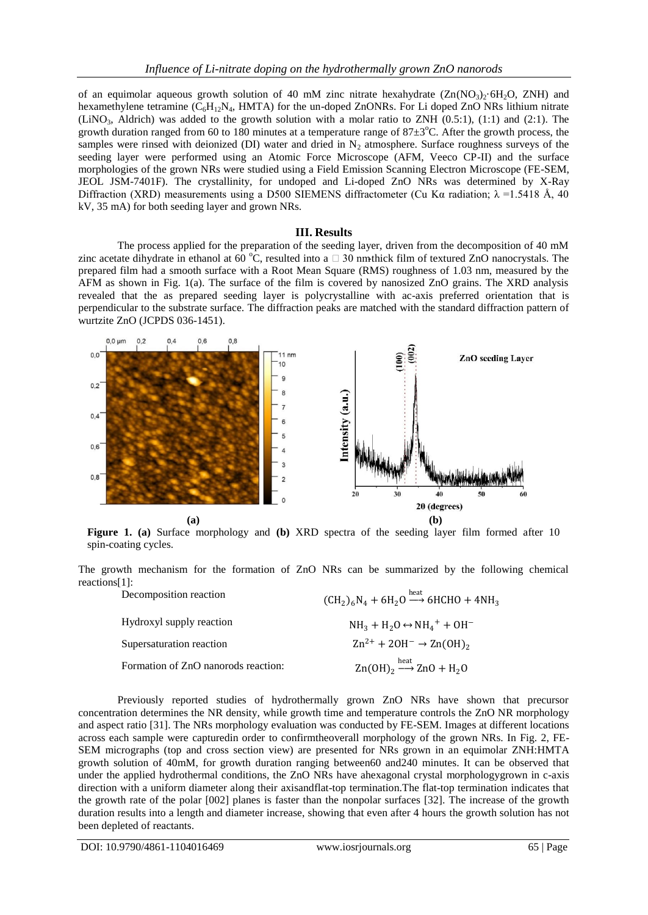of an equimolar aqueous growth solution of 40 mM zinc nitrate hexahydrate  $(Zn(NO_3)_{2.6}H_2O, ZNH)$  and hexamethylene tetramine  $(C_6H_{12}N_4, HMTA)$  for the un-doped ZnONRs. For Li doped ZnO NRs lithium nitrate (LiNO<sub>3</sub>, Aldrich) was added to the growth solution with a molar ratio to ZNH  $(0.5:1)$ ,  $(1:1)$  and  $(2:1)$ . The growth duration ranged from 60 to 180 minutes at a temperature range of  $87\pm3^{\circ}$ C. After the growth process, the samples were rinsed with deionized (DI) water and dried in  $N_2$  atmosphere. Surface roughness surveys of the seeding layer were performed using an Atomic Force Microscope (AFM, Veeco CP-II) and the surface morphologies of the grown NRs were studied using a Field Emission Scanning Electron Microscope (FE-SEM, JEOL JSM-7401F). The crystallinity, for undoped and Li-doped ZnO NRs was determined by X-Ray Diffraction (XRD) measurements using a D500 SIEMENS diffractometer (Cu K $\alpha$  radiation;  $\lambda = 1.5418 \text{ Å}$ , 40 kV, 35 mA) for both seeding layer and grown NRs.

#### **III. Results**

The process applied for the preparation of the seeding layer, driven from the decomposition of 40 mM zinc acetate dihydrate in ethanol at 60 °C, resulted into a  $\Box$  30 nm-thick film of textured ZnO nanocrystals. The prepared film had a smooth surface with a Root Mean Square (RMS) roughness of 1.03 nm, measured by the AFM as shown in Fig. 1(a). The surface of the film is covered by nanosized ZnO grains. The XRD analysis revealed that the as prepared seeding layer is polycrystalline with ac-axis preferred orientation that is perpendicular to the substrate surface. The diffraction peaks are matched with the standard diffraction pattern of wurtzite ZnO (JCPDS 036-1451).



**Figure 1. (a)** Surface morphology and **(b)** XRD spectra of the seeding layer film formed after 10 spin-coating cycles.

The growth mechanism for the formation of ZnO NRs can be summarized by the following chemical reactions[1]:

| Decomposition reaction              | $(CH_2)_6N_4 + 6H_2O \stackrel{heat}{\longrightarrow} 6HCHO + 4NH_3$               |
|-------------------------------------|------------------------------------------------------------------------------------|
| Hydroxyl supply reaction            | $NH_3 + H_2O \leftrightarrow NH_4^+ + OH^-$                                        |
| Supersaturation reaction            | $\text{Zn}^{2+}$ + 20H <sup>-</sup> $\rightarrow$ Zn(OH) <sub>2</sub>              |
| Formation of ZnO nanorods reaction: | $\text{Zn}(\text{OH})_2 \xrightarrow{\text{heat}} \text{ZnO} + \text{H}_2\text{O}$ |

Previously reported studies of hydrothermally grown ZnO NRs have shown that precursor concentration determines the NR density, while growth time and temperature controls the ZnO NR morphology and aspect ratio [31]. The NRs morphology evaluation was conducted by FE-SEM. Images at different locations across each sample were capturedin order to confirmtheoverall morphology of the grown NRs. In Fig. 2, FE-SEM micrographs (top and cross section view) are presented for NRs grown in an equimolar ZNH:HMTA growth solution of 40mM, for growth duration ranging between60 and240 minutes. It can be observed that under the applied hydrothermal conditions, the ZnO NRs have ahexagonal crystal morphologygrown in c-axis direction with a uniform diameter along their axisandflat-top termination.The flat-top termination indicates that the growth rate of the polar [002] planes is faster than the nonpolar surfaces [32]. The increase of the growth duration results into a length and diameter increase, showing that even after 4 hours the growth solution has not been depleted of reactants.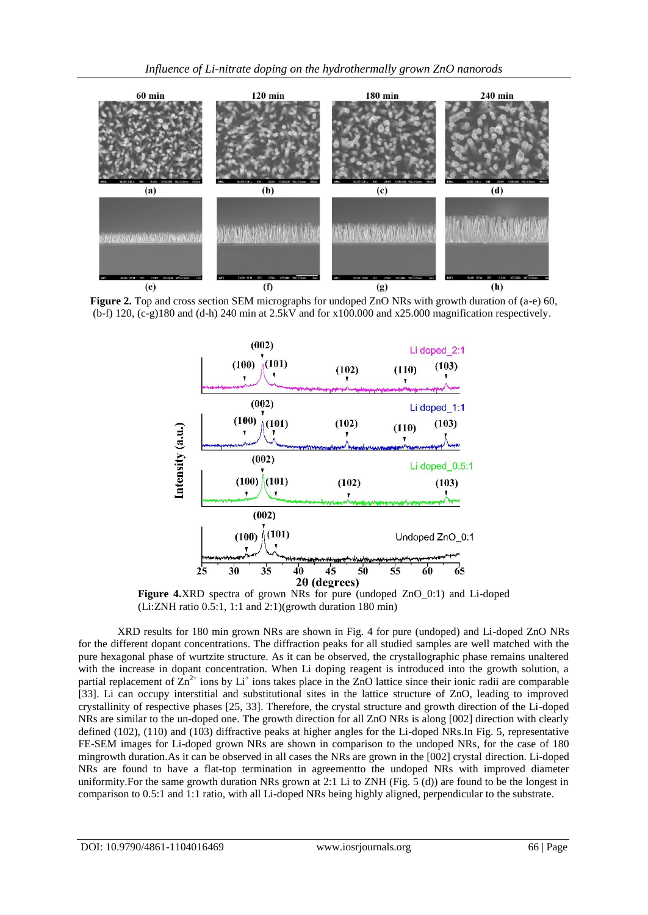

**Figure 2.** Top and cross section SEM micrographs for undoped ZnO NRs with growth duration of (a-e) 60, (b-f) 120, (c-g)180 and (d-h) 240 min at 2.5kV and for x100.000 and x25.000 magnification respectively.



**Figure 4.**XRD spectra of grown NRs for pure (undoped ZnO\_0:1) and Li-doped (Li:ZNH ratio 0.5:1, 1:1 and 2:1)(growth duration 180 min)

XRD results for 180 min grown NRs are shown in Fig. 4 for pure (undoped) and Li-doped ZnO NRs for the different dopant concentrations. The diffraction peaks for all studied samples are well matched with the pure hexagonal phase of wurtzite structure. As it can be observed, the crystallographic phase remains unaltered with the increase in dopant concentration. When Li doping reagent is introduced into the growth solution, a partial replacement of  $\overline{Zn}^{2+}$  ions by  $Li^+$  ions takes place in the ZnO lattice since their ionic radii are comparable [33]. Li can occupy interstitial and substitutional sites in the lattice structure of ZnO, leading to improved crystallinity of respective phases [25, 33]. Therefore, the crystal structure and growth direction of the Li-doped NRs are similar to the un-doped one. The growth direction for all ZnO NRs is along [002] direction with clearly defined (102), (110) and (103) diffractive peaks at higher angles for the Li-doped NRs.In Fig. 5, representative FE-SEM images for Li-doped grown NRs are shown in comparison to the undoped NRs, for the case of 180 mingrowth duration.As it can be observed in all cases the NRs are grown in the [002] crystal direction. Li-doped NRs are found to have a flat-top termination in agreementto the undoped NRs with improved diameter uniformity.For the same growth duration NRs grown at 2:1 Li to ZNH (Fig. 5 (d)) are found to be the longest in comparison to 0.5:1 and 1:1 ratio, with all Li-doped NRs being highly aligned, perpendicular to the substrate.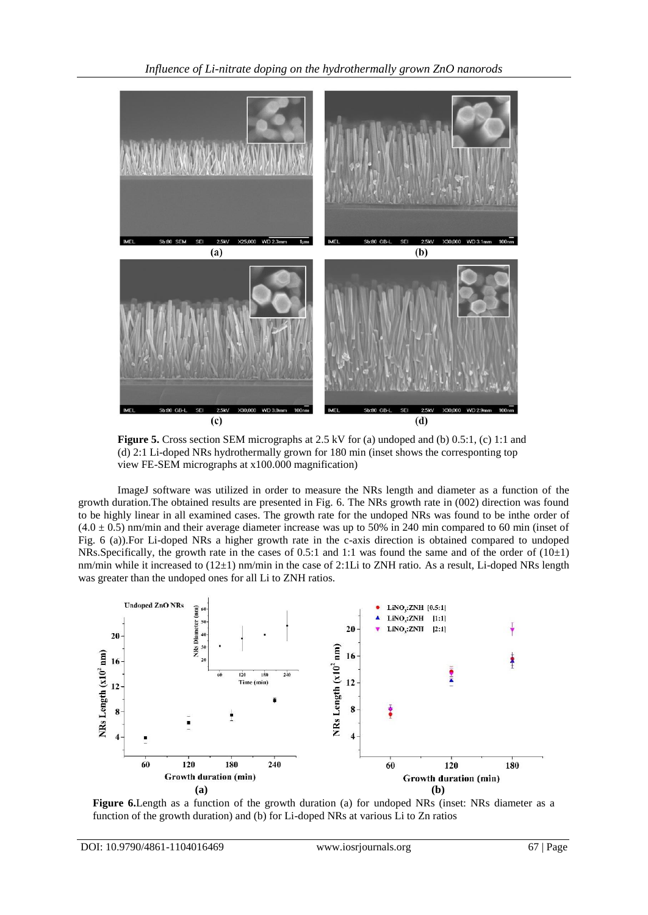

**Figure 5.** Cross section SEM micrographs at 2.5 kV for (a) undoped and (b) 0.5:1, (c) 1:1 and (d) 2:1 Li-doped NRs hydrothermally grown for 180 min (inset shows the corresponting top view FE-SEM micrographs at x100.000 magnification)

ImageJ software was utilized in order to measure the NRs length and diameter as a function of the growth duration.The obtained results are presented in Fig. 6. The NRs growth rate in (002) direction was found to be highly linear in all examined cases. The growth rate for the undoped NRs was found to be inthe order of  $(4.0 \pm 0.5)$  nm/min and their average diameter increase was up to 50% in 240 min compared to 60 min (inset of Fig. 6 (a)).For Li-doped NRs a higher growth rate in the c-axis direction is obtained compared to undoped NRs.Specifically, the growth rate in the cases of 0.5:1 and 1:1 was found the same and of the order of (10±1) nm/min while it increased to (12±1) nm/min in the case of 2:1Li to ZNH ratio. As a result, Li-doped NRs length was greater than the undoped ones for all Li to ZNH ratios.



**Figure 6.**Length as a function of the growth duration (a) for undoped NRs (inset: NRs diameter as a function of the growth duration) and (b) for Li-doped NRs at various Li to Zn ratios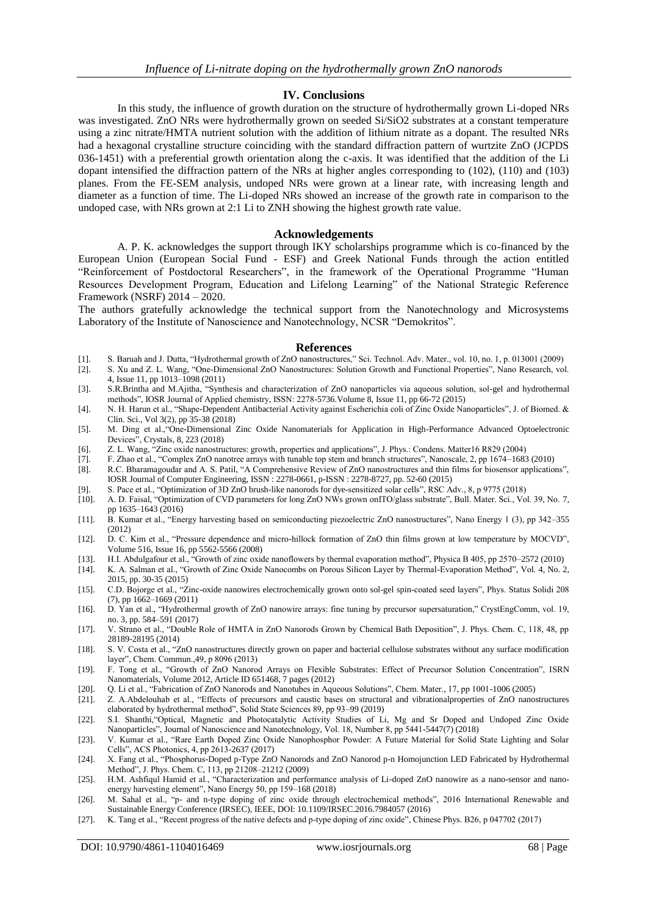#### **IV. Conclusions**

In this study, the influence of growth duration on the structure of hydrothermally grown Li-doped NRs was investigated. ZnO NRs were hydrothermally grown on seeded Si/SiO2 substrates at a constant temperature using a zinc nitrate/HMTA nutrient solution with the addition of lithium nitrate as a dopant. The resulted NRs had a hexagonal crystalline structure coinciding with the standard diffraction pattern of wurtzite ZnO (JCPDS 036-1451) with a preferential growth orientation along the c-axis. It was identified that the addition of the Li dopant intensified the diffraction pattern of the NRs at higher angles corresponding to (102), (110) and (103) planes. From the FE-SEM analysis, undoped NRs were grown at a linear rate, with increasing length and diameter as a function of time. The Li-doped NRs showed an increase of the growth rate in comparison to the undoped case, with NRs grown at 2:1 Li to ZNH showing the highest growth rate value.

#### **Acknowledgements**

A. P. K. acknowledges the support through IKY scholarships programme which is co-financed by the European Union (European Social Fund - ESF) and Greek National Funds through the action entitled "Reinforcement of Postdoctoral Researchers", in the framework of the Operational Programme "Human Resources Development Program, Education and Lifelong Learning" of the National Strategic Reference Framework (NSRF) 2014 – 2020.

The authors gratefully acknowledge the technical support from the Nanotechnology and Microsystems Laboratory of the Institute of Nanoscience and Nanotechnology, NCSR "Demokritos".

#### **References**

- [1]. S. Baruah and J. Dutta, "Hydrothermal growth of ZnO nanostructures," Sci. Technol. Adv. Mater., vol. 10, no. 1, p. 013001 (2009)
- [2]. S. Xu and Z. L. Wang, "One-Dimensional ZnO Nanostructures: Solution Growth and Functional Properties", Nano Research, vol. 4, Issue 11, pp 1013–1098 (2011)
- [3]. S.R.Brintha and M.Ajitha, "Synthesis and characterization of ZnO nanoparticles via aqueous solution, sol-gel and hydrothermal methods", IOSR Journal of Applied chemistry, ISSN: 2278-5736.Volume 8, Issue 11, pp 66-72 (2015)
- [4]. N. H. Harun et al., "Shape-Dependent Antibacterial Activity against Escherichia coli of Zinc Oxide Nanoparticles", J. of Biomed. & Clin. Sci., Vol 3(2), pp 35-38 (2018)
- [5]. M. Ding et al.,"One-Dimensional Zinc Oxide Nanomaterials for Application in High-Performance Advanced Optoelectronic Devices", Crystals, 8, 223 (2018)
- [6]. Z. L. Wang, "Zinc oxide nanostructures: growth, properties and applications", J. Phys.: Condens. Matter16 R829 (2004)
- [7]. F. Zhao et al., "Complex ZnO nanotree arrays with tunable top stem and branch structures", Nanoscale, 2, pp 1674–1683 (2010)
- [8]. R.C. Bharamagoudar and A. S. Patil, "A Comprehensive Review of ZnO nanostructures and thin films for biosensor applications", IOSR Journal of Computer Engineering, ISSN : 2278-0661, p-ISSN : 2278-8727, pp. 52-60 (2015)
- [9]. S. Pace et al., "Optimization of 3D ZnO brush-like nanorods for dye-sensitized solar cells", RSC Adv., 8, p 9775 (2018)
- [10]. A. D. Faisal, "Optimization of CVD parameters for long ZnO NWs grown onITO/glass substrate", Bull. Mater. Sci., Vol. 39, No. 7, pp 1635–1643 (2016)
- [11]. B. Kumar et al., "Energy harvesting based on semiconducting piezoelectric ZnO nanostructures", Nano Energy 1 (3), pp 342–355 (2012)
- [12]. D. C. Kim et al., "Pressure dependence and micro-hillock formation of ZnO thin films grown at low temperature by MOCVD", Volume 516, Issue 16, pp 5562-5566 (2008)
- [13]. H.I. Abdulgafour et al., "Growth of zinc oxide nanoflowers by thermal evaporation method", Physica B 405, pp 2570–2572 (2010)
- [14]. K. A. Salman et al., "Growth of Zinc Oxide Nanocombs on Porous Silicon Layer by Thermal-Evaporation Method", Vol. 4, No. 2, 2015, pp. 30-35 (2015)
- [15]. C.D. Bojorge et al., "Zinc-oxide nanowires electrochemically grown onto sol-gel spin-coated seed layers", Phys. Status Solidi 208 (7), pp 1662–1669 (2011)
- [16]. D. Yan et al., "Hydrothermal growth of ZnO nanowire arrays: fine tuning by precursor supersaturation," CrystEngComm, vol. 19, no. 3, pp. 584–591 (2017)
- [17]. V. Strano et al., "Double Role of HMTA in ZnO Nanorods Grown by Chemical Bath Deposition", J. Phys. Chem. C, 118, 48, pp 28189-28195 (2014)
- [18]. S. V. Costa et al., "ZnO nanostructures directly grown on paper and bacterial cellulose substrates without any surface modification layer", Chem. Commun.,49, p 8096 (2013)
- [19]. F. Tong et al., "Growth of ZnO Nanorod Arrays on Flexible Substrates: Effect of Precursor Solution Concentration", ISRN Nanomaterials, Volume 2012, Article ID 651468, 7 pages (2012)
- [20]. Q. Li et al., "Fabrication of ZnO Nanorods and Nanotubes in Aqueous Solutions", Chem. Mater., 17, pp 1001-1006 (2005)
- [21]. Z. A.Abdelouhab et al., "Effects of precursors and caustic bases on structural and vibrationalproperties of ZnO nanostructures elaborated by hydrothermal method", Solid State Sciences 89, pp 93–99 (2019)
- [22]. S.I. Shanthi,"Optical, Magnetic and Photocatalytic Activity Studies of Li, Mg and Sr Doped and Undoped Zinc Oxide Nanoparticles", Journal of Nanoscience and Nanotechnology, Vol. 18, Number 8, pp 5441-5447(7) (2018)
- [23]. V. Kumar et al., "Rare Earth Doped Zinc Oxide Nanophosphor Powder: A Future Material for Solid State Lighting and Solar Cells", ACS Photonics, 4, pp 2613-2637 (2017)
- [24]. X. Fang et al., "Phosphorus-Doped p-Type ZnO Nanorods and ZnO Nanorod p-n Homojunction LED Fabricated by Hydrothermal Method", J. Phys. Chem. C, 113, pp 21208–21212 (2009)
- [25]. H.M. Ashfiqul Hamid et al., "Characterization and performance analysis of Li-doped ZnO nanowire as a nano-sensor and nanoenergy harvesting element", Nano Energy 50, pp 159–168 (2018)
- [26]. M. Sahal et al., "p- and n-type doping of zinc oxide through electrochemical methods", 2016 International Renewable and Sustainable Energy Conference (IRSEC), IEEE, DOI: 10.1109/IRSEC.2016.7984057 (2016)
- [27]. K. Tang et al., "Recent progress of the native defects and p-type doping of zinc oxide", Chinese Phys. B26, p 047702 (2017)